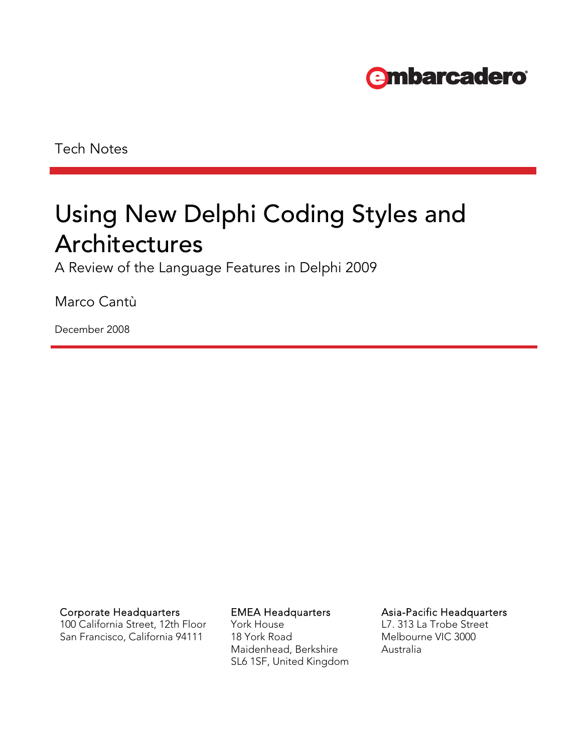

Tech Notes

# Using New Delphi Coding Styles and Architectures

A Review of the Language Features in Delphi 2009

Marco Cantù

December 2008

Corporate Headquarters **EMEA Headquarters** Asia-Pacific Headquarters

100 California Street, 12th Floor San Francisco, California 94111

York House 18 York Road Maidenhead, Berkshire SL6 1SF, United Kingdom

L7. 313 La Trobe Street Melbourne VIC 3000 Australia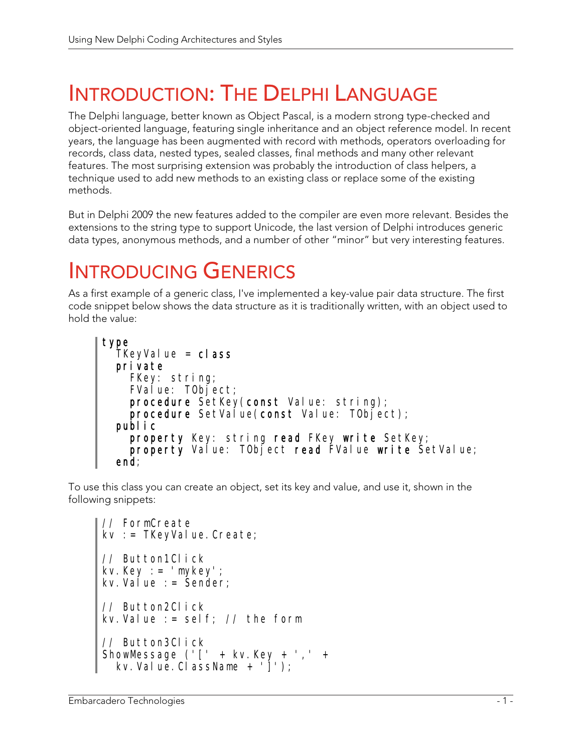# INTRODUCTION: THE DELPHI LANGUAGE

The Delphi language, better known as Object Pascal, is a modern strong type-checked and object-oriented language, featuring single inheritance and an object reference model. In recent years, the language has been augmented with record with methods, operators overloading for records, class data, nested types, sealed classes, final methods and many other relevant features. The most surprising extension was probably the introduction of class helpers, a technique used to add new methods to an existing class or replace some of the existing methods.

But in Delphi 2009 the new features added to the compiler are even more relevant. Besides the extensions to the string type to support Unicode, the last version of Delphi introduces generic data types, anonymous methods, and a number of other "minor" but very interesting features.

# INTRODUCING GENERICS

As a first example of a generic class, I've implemented a key-value pair data structure. The first code snippet below shows the data structure as it is traditionally written, with an object used to hold the value:

```
type 
  TKeyValue = class
   private 
     FKey: string; 
    FValue: TObject;procedure SetKey(const Value: string);
    procedure SetValue(const Value: TObject);
   public 
    property Key: string read FKey write SetKey;
    property Value: TObject read FValue write SetValue;
   end;
```
To use this class you can create an object, set its key and value, and use it, shown in the following snippets:

```
// FormCreate 
kv : = TKeyValue. Create;
// Button1Click 
kv.Key := 'mykey'; 
kv. Value : = \text{Sender};
// Button2Click 
kv.Value := self; // the form 
// Button3Click 
ShowMessage ('[' + kv.Key + ',' + 
 kv.Value.ClassName + ']');
```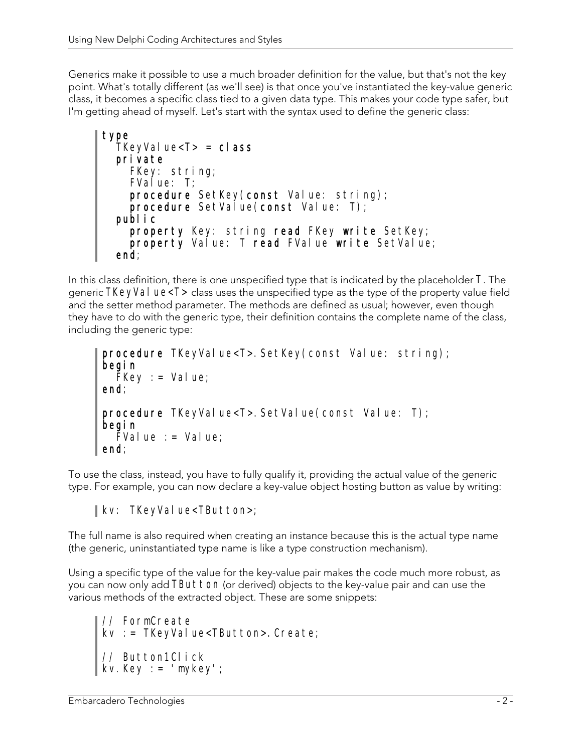Generics make it possible to use a much broader definition for the value, but that's not the key point. What's totally different (as we'll see) is that once you've instantiated the key-value generic class, it becomes a specific class tied to a given data type. This makes your code type safer, but I'm getting ahead of myself. Let's start with the syntax used to define the generic class:

```
type 
  TKeyValue<T> = class
   private 
     FKey: string; 
    FValue: T;
    procedure SetKey(const Value: string);
    procedure SetValue(const Value: T);
   public 
    property Key: string read FKey write SetKey;
     property Value: T read FValue write SetValue; 
   end;
```
In this class definition, there is one unspecified type that is indicated by the placeholder T. The generic TKeyVal ue<T> class uses the unspecified type as the type of the property value field and the setter method parameter. The methods are defined as usual; however, even though they have to do with the generic type, their definition contains the complete name of the class, including the generic type:

```
procedure TKeyValue<T>.SetKey(const Value: string);
begin 
  FKey := Value;end; 
procedure TKeyValue<T>.SetValue(const Value: T);
begin 
  \bar{F}Value : = Value;
end;
```
To use the class, instead, you have to fully qualify it, providing the actual value of the generic type. For example, you can now declare a key-value object hosting button as value by writing:

#### $\parallel$  kv: TKeyValue<TButton>;

The full name is also required when creating an instance because this is the actual type name (the generic, uninstantiated type name is like a type construction mechanism).

Using a specific type of the value for the key-value pair makes the code much more robust, as you can now only add TButton (or derived) objects to the key-value pair and can use the various methods of the extracted object. These are some snippets:

```
// FormCreate 
kv := TKeyValue<TButton>.Create;
// Button1Click 
kv.Key := 'mykey';
```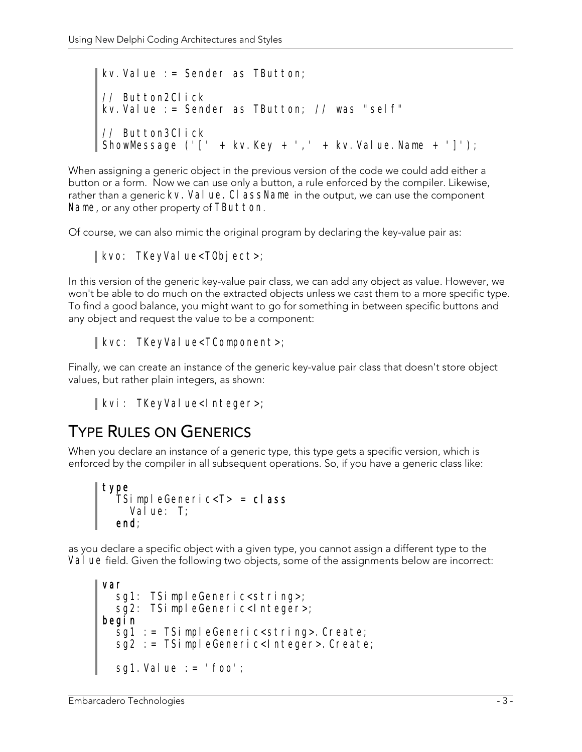kv.Value := Sender as TButton; // Button2Click kv.Value := Sender as TButton; // was "self" // Button3Click ShowMessage ('[' + kv.Key + ',' + kv.Value.Name + ']');

When assigning a generic object in the previous version of the code we could add either a button or a form. Now we can use only a button, a rule enforced by the compiler. Likewise, rather than a generic kv. Val ue. CI assName in the output, we can use the component Name, or any other property of TButton.

Of course, we can also mimic the original program by declaring the key-value pair as:

#### kvo: TKeyValue<T0bject>;

In this version of the generic key-value pair class, we can add any object as value. However, we won't be able to do much on the extracted objects unless we cast them to a more specific type. To find a good balance, you might want to go for something in between specific buttons and any object and request the value to be a component:

#### $\parallel$  kvc: TKeyValue<TComponent>;

Finally, we can create an instance of the generic key-value pair class that doesn't store object values, but rather plain integers, as shown:

```
| kvi: TKeyValue<Integer>;
```
### TYPE RULES ON GENERICS

When you declare an instance of a generic type, this type gets a specific version, which is enforced by the compiler in all subsequent operations. So, if you have a generic class like:

```
type 
TSi mpleGeneric<T> = class
Value: T;
 end;
```
as you declare a specific object with a given type, you cannot assign a different type to the Val ue field. Given the following two objects, some of the assignments below are incorrect:

```
var 
  sg1: TSimpleGeneric<string>;
  sg2: TSimpleGeneric<Integer>;
begin 
   sg1 := TSimpleGeneric<string>.Create; 
   sg2 := TSimpleGeneric<Integer>.Create; 
  sg1. Value := ' foo';
```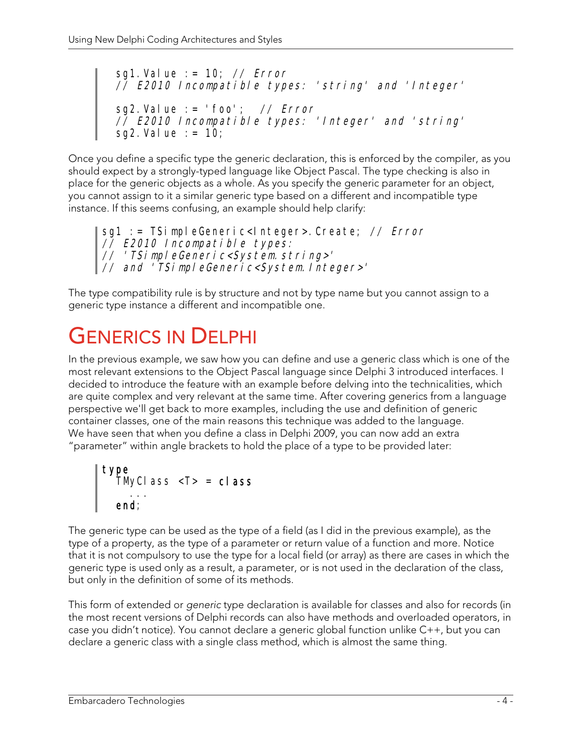sg1. Value  $:= 10$ ; // Error // E2010 Incompatible types: 'string' and 'Integer' sg2.Value := 'foo'; // Error // E2010 Incompatible types: 'Integer' and 'string' sg2. Value  $:= 10$ ;

Once you define a specific type the generic declaration, this is enforced by the compiler, as you should expect by a strongly-typed language like Object Pascal. The type checking is also in place for the generic objects as a whole. As you specify the generic parameter for an object, you cannot assign to it a similar generic type based on a different and incompatible type instance. If this seems confusing, an example should help clarify:

sg1 := TSimpleGeneric<Integer>.Create; // Error // E2010 Incompatible types: // 'TSimpleGeneric<System.string>' // and 'TSimpleGeneric<System.Integer>'

The type compatibility rule is by structure and not by type name but you cannot assign to a generic type instance a different and incompatible one.

# GENERICS IN DELPHI

In the previous example, we saw how you can define and use a generic class which is one of the most relevant extensions to the Object Pascal language since Delphi 3 introduced interfaces. I decided to introduce the feature with an example before delving into the technicalities, which are quite complex and very relevant at the same time. After covering generics from a language perspective we'll get back to more examples, including the use and definition of generic container classes, one of the main reasons this technique was added to the language. We have seen that when you define a class in Delphi 2009, you can now add an extra "parameter" within angle brackets to hold the place of a type to be provided later:

type TMyClass <T> = class ... end;

The generic type can be used as the type of a field (as I did in the previous example), as the type of a property, as the type of a parameter or return value of a function and more. Notice that it is not compulsory to use the type for a local field (or array) as there are cases in which the generic type is used only as a result, a parameter, or is not used in the declaration of the class, but only in the definition of some of its methods.

This form of extended or generic type declaration is available for classes and also for records (in the most recent versions of Delphi records can also have methods and overloaded operators, in case you didn't notice). You cannot declare a generic global function unlike C++, but you can declare a generic class with a single class method, which is almost the same thing.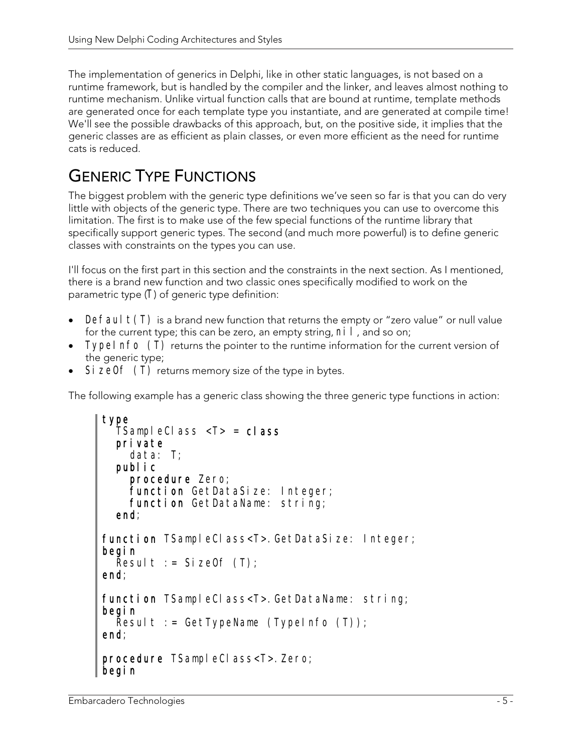The implementation of generics in Delphi, like in other static languages, is not based on a runtime framework, but is handled by the compiler and the linker, and leaves almost nothing to runtime mechanism. Unlike virtual function calls that are bound at runtime, template methods are generated once for each template type you instantiate, and are generated at compile time! We'll see the possible drawbacks of this approach, but, on the positive side, it implies that the generic classes are as efficient as plain classes, or even more efficient as the need for runtime cats is reduced.

## GENERIC TYPE FUNCTIONS

The biggest problem with the generic type definitions we've seen so far is that you can do very little with objects of the generic type. There are two techniques you can use to overcome this limitation. The first is to make use of the few special functions of the runtime library that specifically support generic types. The second (and much more powerful) is to define generic classes with constraints on the types you can use.

I'll focus on the first part in this section and the constraints in the next section. As I mentioned, there is a brand new function and two classic ones specifically modified to work on the parametric type (T) of generic type definition:

- Default(T) is a brand new function that returns the empty or "zero value" or null value for the current type; this can be zero, an empty string,  $ni I$ , and so on;
- Typel nfo (T) returns the pointer to the runtime information for the current version of the generic type;
- Si zeOf (T) returns memory size of the type in bytes.

The following example has a generic class showing the three generic type functions in action:

```
type 
  TSampleClass <\mathsf{T}> = \mathsf{cl} ass
   private 
     data: T; 
   public 
     procedure Zero; 
    function GetDataSize: Integer;
     function GetDataName: string; 
   end; 
function TSampleClass<T>.GetDataSize: Integer;
begin 
  Result := SizeOf (T);
end; 
function TSampleClass<T>.GetDataName: string;
begin 
  Result := GetTypeName (TypeInfo (T));
end; 
procedure TSampleClass<T>.Zero;
begin
```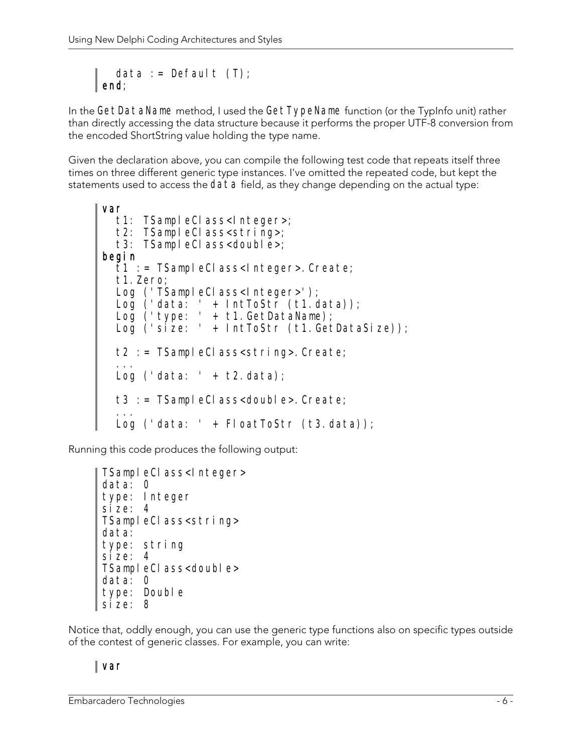data := Default  $(T)$ ;  $\parallel$  end;

In the GetDataName method, I used the GetTypeName function (or the TypInfo unit) rather than directly accessing the data structure because it performs the proper UTF-8 conversion from the encoded ShortString value holding the type name.

Given the declaration above, you can compile the following test code that repeats itself three times on three different generic type instances. I've omitted the repeated code, but kept the statements used to access the data field, as they change depending on the actual type:

```
var 
  t1: TSampleClass<Integer>;
  t2: TSampleClass<string>;
  t3: TSampleClass<double>;
begin 
  \bar{t}1 := TSampleClass<lnteger>.Create;
   t1.Zero; 
  Log ('TSampleClass<Integer>');
 Log ('data: ' + IntToStr (t1.data)); 
 Log ('type: ' + t1.GetDataName); 
  Log ('size: ' + IntToStr (t1. GetDataSize));
   t2 := TSampleClass<string>.Create; 
 ... 
  Log ('data: ' + t2.data);
   t3 := TSampleClass<double>.Create; 
 ... 
  Log ('data: ' + FloatToStr (t3.data));
```
Running this code produces the following output:

```
TSampleClass<Integer>
data: 0 
type: Integer 
size: 4 
TSampleClass<string>
data: 
type: string 
size: 4TSampleClass<double>
data: 0 
type: Double
size: 8
```
Notice that, oddly enough, you can use the generic type functions also on specific types outside of the contest of generic classes. For example, you can write:

#### var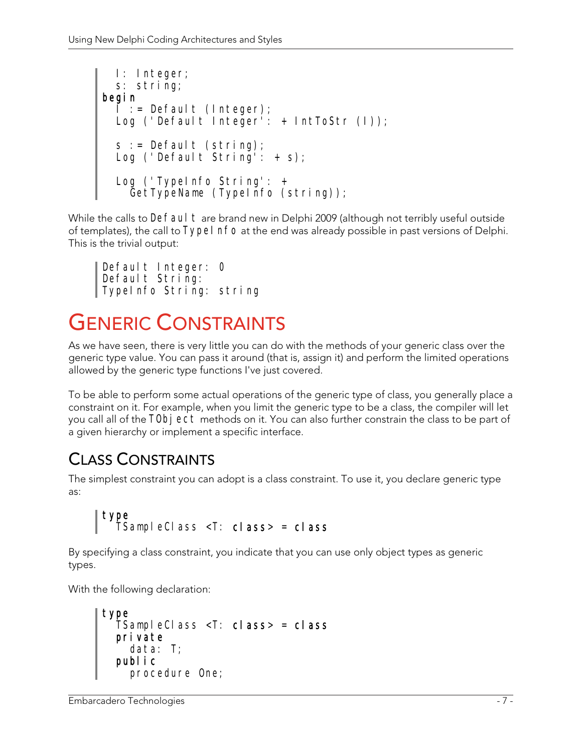```
 I: Integer; 
   s: string; 
begin 
 I := Default (Integer); 
 Log ('Default Integer': + IntToStr (I)); 
  s := Default (string);
  Log ('Default String': + s);
   Log ('TypeInfo String': + 
     GetTypeName (TypeInfo (string));
```
While the calls to Defaul t are brand new in Delphi 2009 (although not terribly useful outside of templates), the call to Typel nfo at the end was already possible in past versions of Delphi. This is the trivial output:

Default Integer: 0 Default String: TypeInfo String: string

# GENERIC CONSTRAINTS

As we have seen, there is very little you can do with the methods of your generic class over the generic type value. You can pass it around (that is, assign it) and perform the limited operations allowed by the generic type functions I've just covered.

To be able to perform some actual operations of the generic type of class, you generally place a constraint on it. For example, when you limit the generic type to be a class, the compiler will let you call all of the TObj ect methods on it. You can also further constrain the class to be part of a given hierarchy or implement a specific interface.

## CLASS CONSTRAINTS

The simplest constraint you can adopt is a class constraint. To use it, you declare generic type as:

```
type 
  TSampleClass \leqT: class \leq class
```
By specifying a class constraint, you indicate that you can use only object types as generic types.

With the following declaration:

```
type 
 TSampleClass <T: class> = class 
   private 
     data: T; 
   public 
     procedure One;
```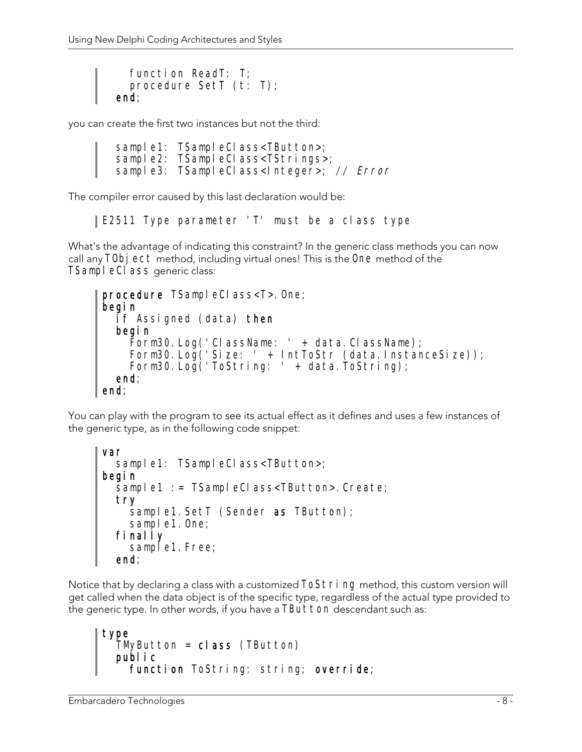```
 function ReadT: T; 
   procedure SetT (t: T); 
 end;
```
you can create the first two instances but not the third:

```
sample1: TSampleClass<TButton>;
sample2: TSampleClass<TStrings>;
sample3: TSampleClass<Integer>; // Error
```
The compiler error caused by this last declaration would be:

E2511 Type parameter 'T' must be a class type

What's the advantage of indicating this constraint? In the generic class methods you can now call any TObj ect method, including virtual ones! This is the One method of the TSampleCI ass generic class:

```
procedure TSampleClass<T>.One;
begin 
   if Assigned (data) then 
   begin 
     Form30.Log('ClassName: ' + data.ClassName); 
 Form30.Log('Size: ' + IntToStr (data.InstanceSize)); 
 Form30.Log('ToString: ' + data.ToString); 
   end; 
end;
```
You can play with the program to see its actual effect as it defines and uses a few instances of the generic type, as in the following code snippet:

```
var 
  sample1: TSampleClass<TButton>;
begin 
  sample1 := TSampleClass<TButton>. Create;
   try 
    sample1. SetT (Sender as TButton);
    sample1. One;
   finally 
    sample1. Free;
   end;
```
Notice that by declaring a class with a customized ToString method, this custom version will get called when the data object is of the specific type, regardless of the actual type provided to the generic type. In other words, if you have a TButton descendant such as:

```
type 
  TMyButton = class (TButton) public 
   function ToString: string; override;
```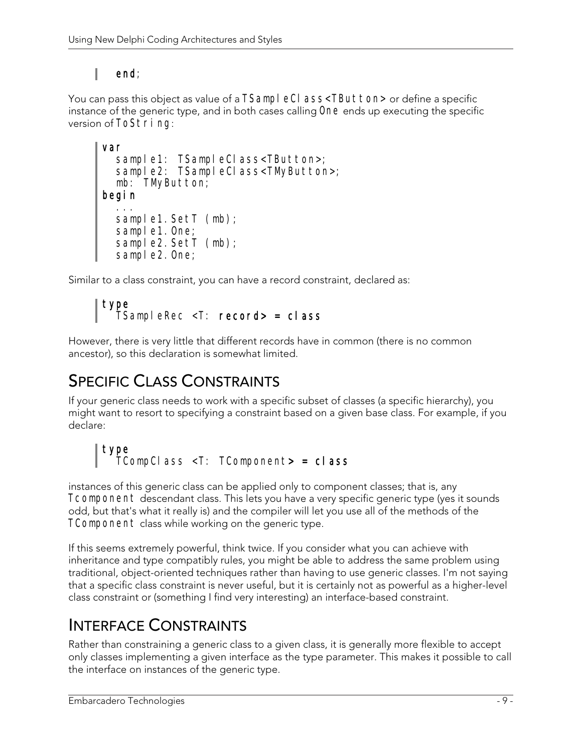#### ı end;

You can pass this object as value of a TSampl eCI ass<TButton> or define a specific instance of the generic type, and in both cases calling One ends up executing the specific version of ToString:

```
var 
 sample1: TSampleClass<TButton>; 
 sample2: TSampleClass<TMyButton>; 
   mb: TMyButton; 
begin 
 ... 
  sample1. SetT (mb);
  sample1. One;
  sample2. SetT (mb);
  sample2. One;
```
Similar to a class constraint, you can have a record constraint, declared as:

#### type TSampleRec <T: record> = class

However, there is very little that different records have in common (there is no common ancestor), so this declaration is somewhat limited.

## SPECIFIC CLASS CONSTRAINTS

If your generic class needs to work with a specific subset of classes (a specific hierarchy), you might want to resort to specifying a constraint based on a given base class. For example, if you declare:

```
type 
   TCompClass <T: TComponent> = class
```
instances of this generic class can be applied only to component classes; that is, any Tcomponent descendant class. This lets you have a very specific generic type (yes it sounds odd, but that's what it really is) and the compiler will let you use all of the methods of the TComponent class while working on the generic type.

If this seems extremely powerful, think twice. If you consider what you can achieve with inheritance and type compatibly rules, you might be able to address the same problem using traditional, object-oriented techniques rather than having to use generic classes. I'm not saying that a specific class constraint is never useful, but it is certainly not as powerful as a higher-level class constraint or (something I find very interesting) an interface-based constraint.

## INTERFACE CONSTRAINTS

Rather than constraining a generic class to a given class, it is generally more flexible to accept only classes implementing a given interface as the type parameter. This makes it possible to call the interface on instances of the generic type.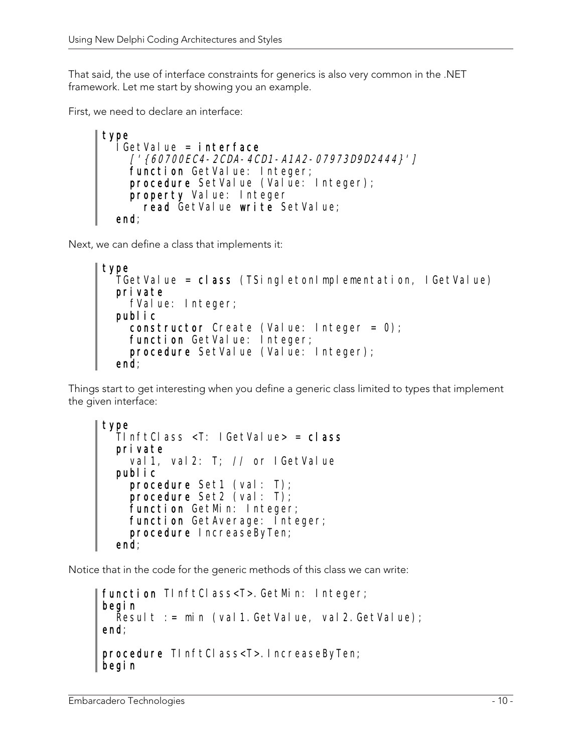That said, the use of interface constraints for generics is also very common in the .NET framework. Let me start by showing you an example.

First, we need to declare an interface:

```
type 
   IGetValue = interface 
     ['{60700EC4-2CDA-4CD1-A1A2-07973D9D2444}'] 
    function GetValue: Integer;
    procedure SetValue (Value: Integer);
     property Value: Integer 
      read GetValue write SetValue;
   end;
```
Next, we can define a class that implements it:

```
type 
   TGetValue = class (TSingletonImplementation, IGetValue) 
   private 
    fValue: Integer;
   public 
     constructor Create (Value: Integer = 0); 
 function GetValue: Integer; 
procedure SetValue (Value: Integer);
  end;
```
Things start to get interesting when you define a generic class limited to types that implement the given interface:

```
type 
   TInftClass <T: IGetValue> = class 
   private 
    val 1, val 2: T; // or I GetValue
   public 
     procedure Set1 (val: T); 
    procedure Set2 \vec{(} val: T);
     function GetMin: Integer; 
    function GetAverage: Integer;
     procedure IncreaseByTen; 
   end;
```
Notice that in the code for the generic methods of this class we can write:

```
function TInftClass<T>.GetMin: Integer;
begin 
  Result := min (val1.GetValue, val2.GetValue);
end; 
procedure TInftClass<T>.IncreaseByTen; 
begin
```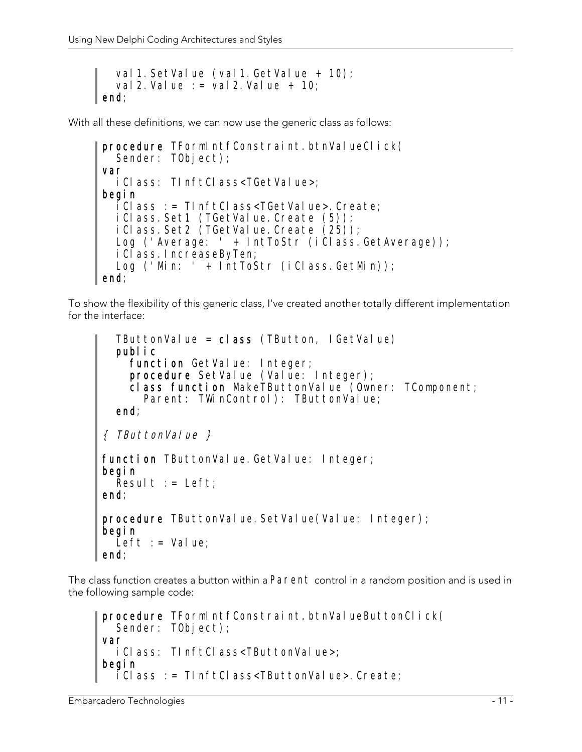```
val 1. SetValue (val 1. GetValue + 10);
   val 2. Value := val 2. Value + 10;
l end:
```
With all these definitions, we can now use the generic class as follows:

```
procedure TFormIntfConstraint.btnValueClick(
  Sender: T0bject);
var 
   iClass: TInftClass<TGetValue>; 
begin 
   iClass := TInftClass<TGetValue>.Create; 
  iClass. Set1 (TGetValue. Create (5));
  iClass. Set2 (TGetValue. Create (25));
  Log ('Average: ' + IntToStr (iClass.GetAverage));
   iClass.IncreaseByTen; 
  Log ('Min: ' + IntToStr (iClass.GetMin));
end;
```
To show the flexibility of this generic class, I've created another totally different implementation for the interface:

```
TButtonValue = cl ass (TButton, IGetValue)
   public 
    function GetValue: Integer;
    procedure SetValue (Value: Integer);
     class function MakeTButtonValue (Owner: TComponent; 
      Parent: TWinControl): TButtonValue;
   end; 
\{ TButtonValue \}function TButtonValue. GetValue: Integer;
begin 
  Result := Left;
end; 
procedure TButtonValue. SetValue(Value: Integer);
begin 
  Left := Value;
end;
```
The class function creates a button within a Parent control in a random position and is used in the following sample code:

```
procedure TFormIntfConstraint.btnValueButtonClick(
  Sender: TObject);
var 
   iClass: TInftClass<TButtonValue>; 
begin 
  iClass := TInftClass<TButtonValue>.Create;
```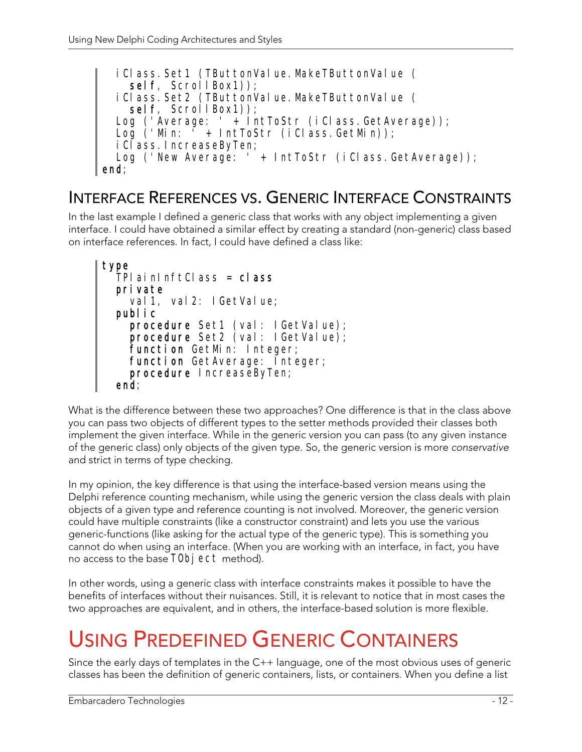```
iClass.Set1 (TButtonValue.MakeTButtonValue (
    sel f, ScrollBox1));
  iClass. Set2 (TButtonValue. MakeTButtonValue (
    sel f, ScrollBox1));
  Log ('Average: ' + IntToStr (iClass.GetAverage));
   Log ('Min: ' + IntToStr (iClass.GetMin)); 
  iClass. IncreaseByTen;
  Log ('New Average: ' + IntToStr (iClass.GetAverage));
end;
```
### INTERFACE REFERENCES VS. GENERIC INTERFACE CONSTRAINTS

In the last example I defined a generic class that works with any object implementing a given interface. I could have obtained a similar effect by creating a standard (non-generic) class based on interface references. In fact, I could have defined a class like:

```
type 
   TPlainInftClass = class 
   private 
    val 1, val 2: I GetVal ue;
   public 
    procedure Set1 (val: IGetValue);
    procedure Set2 (val: IGetValue);
    function GetMin: Integer;
     function GetAverage: Integer; 
     procedure IncreaseByTen; 
   end;
```
What is the difference between these two approaches? One difference is that in the class above you can pass two objects of different types to the setter methods provided their classes both implement the given interface. While in the generic version you can pass (to any given instance of the generic class) only objects of the given type. So, the generic version is more conservative and strict in terms of type checking.

In my opinion, the key difference is that using the interface-based version means using the Delphi reference counting mechanism, while using the generic version the class deals with plain objects of a given type and reference counting is not involved. Moreover, the generic version could have multiple constraints (like a constructor constraint) and lets you use the various generic-functions (like asking for the actual type of the generic type). This is something you cannot do when using an interface. (When you are working with an interface, in fact, you have no access to the base TObj ect method).

In other words, using a generic class with interface constraints makes it possible to have the benefits of interfaces without their nuisances. Still, it is relevant to notice that in most cases the two approaches are equivalent, and in others, the interface-based solution is more flexible.

# USING PREDEFINED GENERIC CONTAINERS

Since the early days of templates in the C++ language, one of the most obvious uses of generic classes has been the definition of generic containers, lists, or containers. When you define a list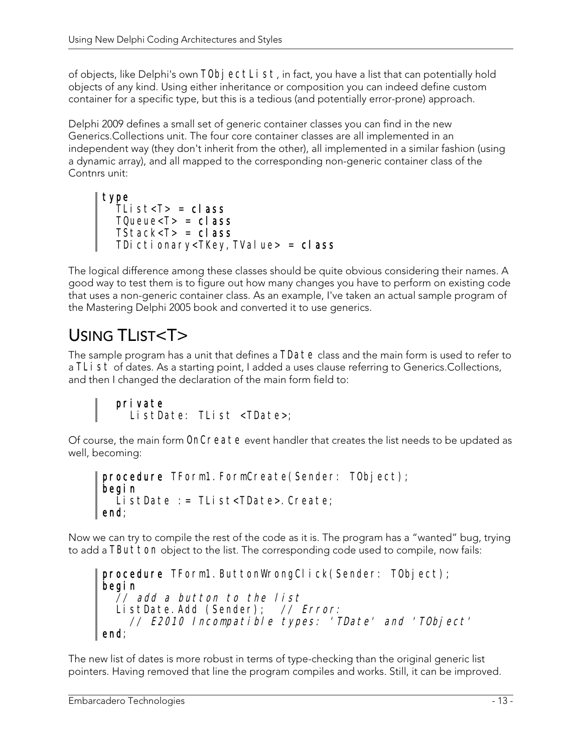of objects, like Delphi's own TObj ectList, in fact, you have a list that can potentially hold objects of any kind. Using either inheritance or composition you can indeed define custom container for a specific type, but this is a tedious (and potentially error-prone) approach.

Delphi 2009 defines a small set of generic container classes you can find in the new Generics.Collections unit. The four core container classes are all implemented in an independent way (they don't inherit from the other), all implemented in a similar fashion (using a dynamic array), and all mapped to the corresponding non-generic container class of the Contnrs unit:

```
type 
  TList<T> = cl ass
TQueue<T> = class
 TStack<T> = class 
 TDictionary<TKey, TValue> = class
```
The logical difference among these classes should be quite obvious considering their names. A good way to test them is to figure out how many changes you have to perform on existing code that uses a non-generic container class. As an example, I've taken an actual sample program of the Mastering Delphi 2005 book and converted it to use generics.

## USING TLIST<T>

The sample program has a unit that defines a TDate class and the main form is used to refer to a TLI st of dates. As a starting point, I added a uses clause referring to Generics.Collections, and then I changed the declaration of the main form field to:

```
 private 
   ListDate: TList <TDate>;
```
Of course, the main form OnCreate event handler that creates the list needs to be updated as well, becoming:

```
procedure TForm1. FormCreate(Sender: TObject);
begin 
   ListDate := TList<TDate>.Create; 
end;
```
Now we can try to compile the rest of the code as it is. The program has a "wanted" bug, trying to add a TButton object to the list. The corresponding code used to compile, now fails:

```
procedure TForm1. ButtonWrongClick(Sender: TObject);
begin 
 // add a button to the list 
 ListDate.Add (Sender); // Error: 
 // E2010 Incompatible types: 'TDate' and 'TObject' 
end;
```
The new list of dates is more robust in terms of type-checking than the original generic list pointers. Having removed that line the program compiles and works. Still, it can be improved.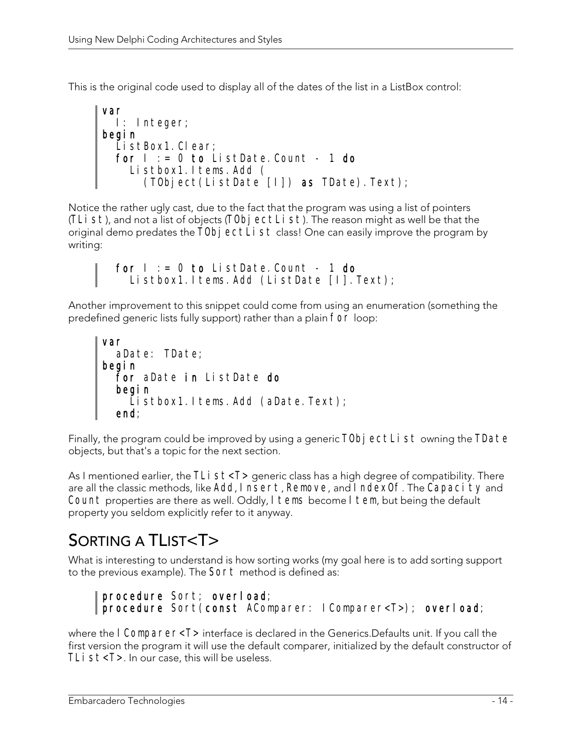This is the original code used to display all of the dates of the list in a ListBox control:

```
var 
   I: Integer; 
begin 
   ListBox1.Clear; 
  for I := 0 to ListDate. Count - 1 do
     Listbox1.Items.Add ( 
       (TObject(ListDate [I]) as TDate).Text);
```
Notice the rather ugly cast, due to the fact that the program was using a list of pointers (TLi st), and not a list of objects (TObj ectLi st). The reason might as well be that the original demo predates the  $\overline{T} 0$ bjectList class! One can easily improve the program by writing:

```
for I := 0 to ListDate. Count - 1 do
  Listbox1.1tems.Add (ListDate [I].Text);
```
Another improvement to this snippet could come from using an enumeration (something the predefined generic lists fully support) rather than a plain for loop:

```
var 
   aDate: TDate; 
begin 
   for aDate in ListDate do 
   begin 
    Listbox1.1tems.Add (aDate.Text);
 end;
```
Finally, the program could be improved by using a generic TObj ectList owning the TDate objects, but that's a topic for the next section.

As I mentioned earlier, the TLi  $st < T$  generic class has a high degree of compatibility. There are all the classic methods, like Add, Insert, Remove, and IndexOf. The Capacity and Count properties are there as well. Oddly, I tems become I tem, but being the default property you seldom explicitly refer to it anyway.

## SORTING A TLIST<T>

What is interesting to understand is how sorting works (my goal here is to add sorting support to the previous example). The Sort method is defined as:

```
procedure Sort; overload;
procedure Sort(const AComparer: IComparer<T>); overload;
```
where the I Comparer<T> interface is declared in the Generics. Defaults unit. If you call the first version the program it will use the default comparer, initialized by the default constructor of TL $i$   $st$  < T  $>$ . In our case, this will be useless.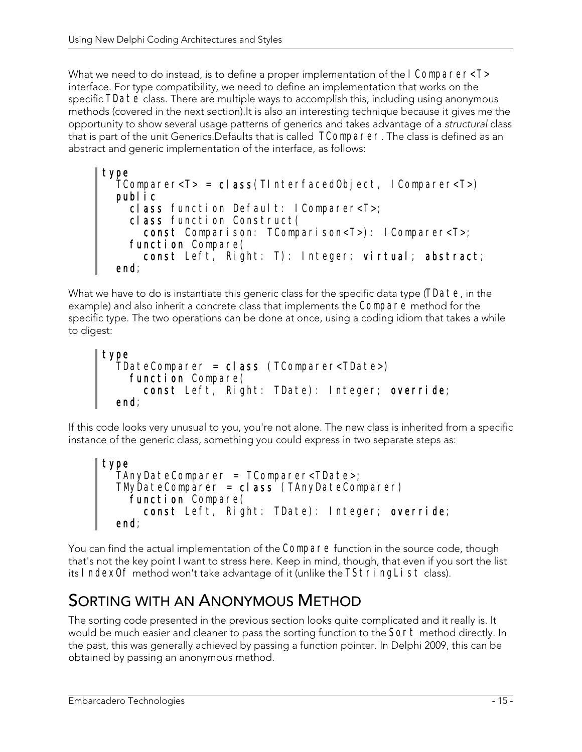What we need to do instead, is to define a proper implementation of the I Comparer<T> interface. For type compatibility, we need to define an implementation that works on the specific TDate class. There are multiple ways to accomplish this, including using anonymous methods (covered in the next section).It is also an interesting technique because it gives me the opportunity to show several usage patterns of generics and takes advantage of a structural class that is part of the unit Generics.Defaults that is called TComparer. The class is defined as an abstract and generic implementation of the interface, as follows:

```
type 
   TComparer<T> = class(TInterfacedObject, IComparer<T>) 
   public 
    class function Default: IComparer<T>; 
     class function Construct( 
       const Comparison: TComparison<T>): IComparer<T>; 
function Compare(
 const Left, Right: T): Integer; virtual; abstract; 
   end;
```
What we have to do is instantiate this generic class for the specific data type (TDate, in the example) and also inherit a concrete class that implements the Compare method for the specific type. The two operations can be done at once, using a coding idiom that takes a while to digest:

```
type 
   TDateComparer = class (TComparer<TDate>) 
    function Compare(
       const Left, Right: TDate): Integer; override; 
   end;
```
If this code looks very unusual to you, you're not alone. The new class is inherited from a specific instance of the generic class, something you could express in two separate steps as:

```
type 
   TAnyDateComparer = TComparer<TDate>; 
   TMyDateComparer = class (TAnyDateComparer) 
    function Compare(
       const Left, Right: TDate): Integer; override; 
   end;
```
You can find the actual implementation of the Compare function in the source code, though that's not the key point I want to stress here. Keep in mind, though, that even if you sort the list its IndexOf method won't take advantage of it (unlike the TStringList class).

## SORTING WITH AN ANONYMOUS METHOD

The sorting code presented in the previous section looks quite complicated and it really is. It would be much easier and cleaner to pass the sorting function to the Sort method directly. In the past, this was generally achieved by passing a function pointer. In Delphi 2009, this can be obtained by passing an anonymous method.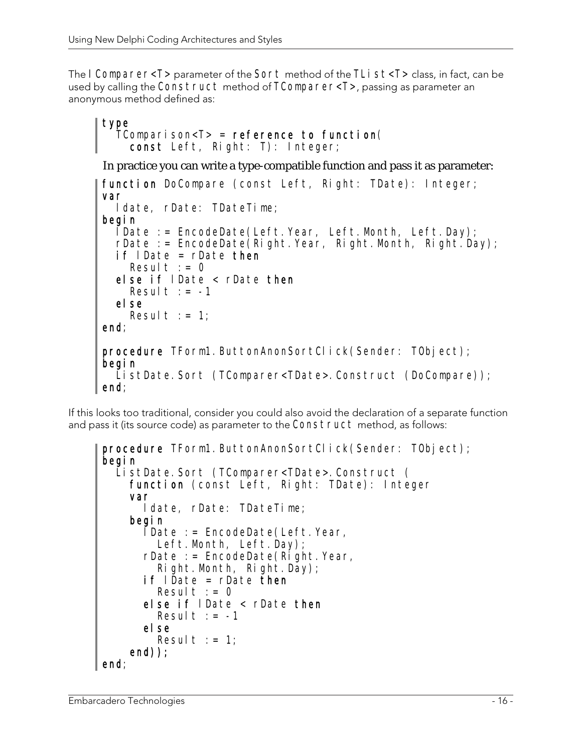The I Comparer<T> parameter of the Sort method of the TLI  $st < T$  class, in fact, can be used by calling the Construct method of TComparer<T>, passing as parameter an anonymous method defined as:

```
type 
  TComparison<T> = reference to function(
     const Left, Right: T): Integer; 
In practice you can write a type-compatible function and pass it as parameter: 
function DoCompare (const Left, Right: TDate): Integer;
var 
   ldate, rDate: TDateTime; 
begin 
  \overline{\text{I}}Date := EncodeDate(Left.Year, Left.Month, Left.Day);
  rDate := EncodeDate(Right.Year, Right.Month, Right.Day);
   if lDate = rDate then 
    Result := 0 else if lDate < rDate then 
    Result := -1 else 
    Result := 1;
end; 
procedure TForm1. ButtonAnonSortClick(Sender: TObject);
begin 
  ListDate.Sort (TComparer<TDate>.Construct (DoCompare));
end;
```
If this looks too traditional, consider you could also avoid the declaration of a separate function and pass it (its source code) as parameter to the Construct method, as follows:

```
procedure TForm1. ButtonAnonSortClick(Sender: TObject);
begin 
   ListDate.Sort (TComparer<TDate>.Construct (
       function (const Left, Right: TDate): Integer 
       var 
           ldate, rDate: TDateTime; 
       begin 
          \overline{\text{I}}Date := EncodeDate(Left. Year,
             Left.Month, Left.Day);
          rDate := EncoderDate(R\bar{I}ght.Year, Right.Month, Right.Day); 
          if I \tilde{D} ate = r D \tilde{D} \tilde{D} \tilde{D} \tilde{D} \tilde{D} \tilde{D} \tilde{D} \tilde{D} \tilde{D} \tilde{D} \tilde{D} \tilde{D} \tilde{D} \tilde{D} \tilde{D} \tilde{D} \tilde{D} \tilde{D} \tilde{D} \tilde{D} \tilde{D} \Result := 0 else if lDate < rDate then 
             Result := -1 else 
             Result := 1;
       end)); 
end;
```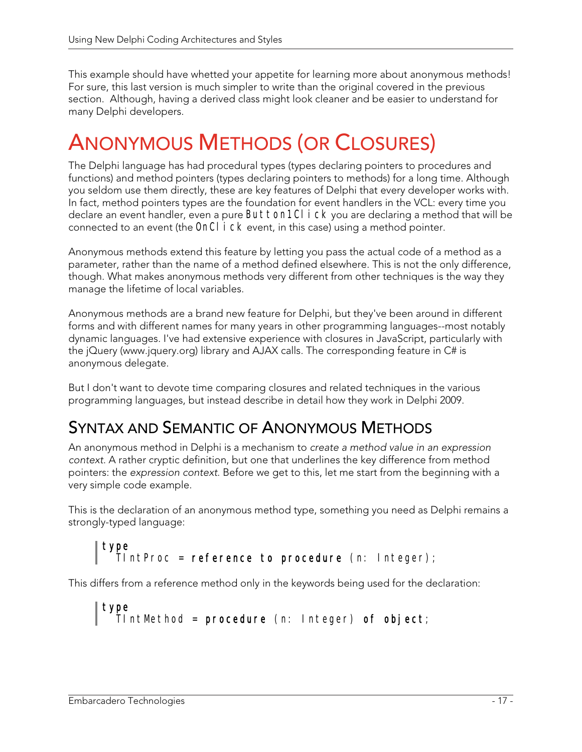This example should have whetted your appetite for learning more about anonymous methods! For sure, this last version is much simpler to write than the original covered in the previous section. Although, having a derived class might look cleaner and be easier to understand for many Delphi developers.

# ANONYMOUS METHODS (OR CLOSURES)

The Delphi language has had procedural types (types declaring pointers to procedures and functions) and method pointers (types declaring pointers to methods) for a long time. Although you seldom use them directly, these are key features of Delphi that every developer works with. In fact, method pointers types are the foundation for event handlers in the VCL: every time you declare an event handler, even a pure Button1Cl i ck you are declaring a method that will be connected to an event (the OnCl i CK event, in this case) using a method pointer.

Anonymous methods extend this feature by letting you pass the actual code of a method as a parameter, rather than the name of a method defined elsewhere. This is not the only difference, though. What makes anonymous methods very different from other techniques is the way they manage the lifetime of local variables.

Anonymous methods are a brand new feature for Delphi, but they've been around in different forms and with different names for many years in other programming languages--most notably dynamic languages. I've had extensive experience with closures in JavaScript, particularly with the jQuery (www.jquery.org) library and AJAX calls. The corresponding feature in C# is anonymous delegate.

But I don't want to devote time comparing closures and related techniques in the various programming languages, but instead describe in detail how they work in Delphi 2009.

## SYNTAX AND SEMANTIC OF ANONYMOUS METHODS

An anonymous method in Delphi is a mechanism to create a method value in an expression context. A rather cryptic definition, but one that underlines the key difference from method pointers: the expression context. Before we get to this, let me start from the beginning with a very simple code example.

This is the declaration of an anonymous method type, something you need as Delphi remains a strongly-typed language:

```
| type
   pu<br>TIntProc = reference to procedure (n: Integer);
```
This differs from a reference method only in the keywords being used for the declaration:

```
| type
    TIntMethod = procedure (n: Integer) of object;
```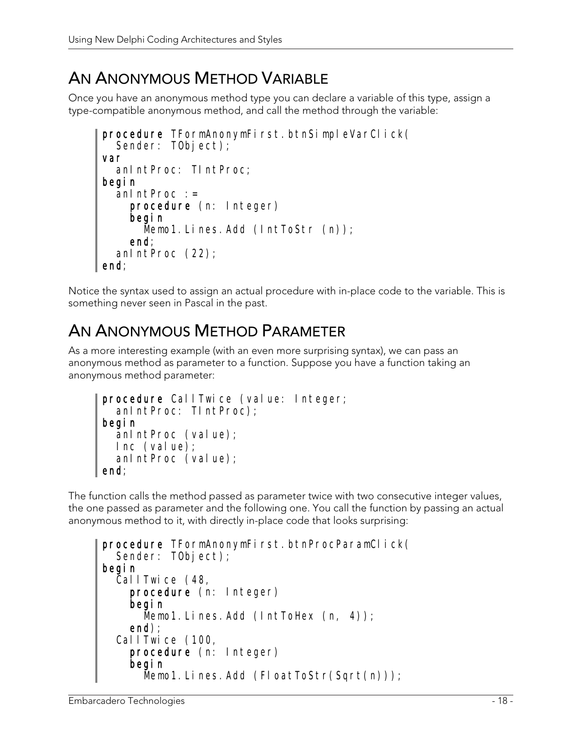## AN ANONYMOUS METHOD VARIABLE

Once you have an anonymous method type you can declare a variable of this type, assign a type-compatible anonymous method, and call the method through the variable:

```
procedure TFormAnonymFirst.btnSimpleVarClick(
  Sender: TObject);
var 
   anIntProc: TIntProc; 
begin 
  anIntProc := procedure (n: Integer) 
     begin 
      Memo1. Lines. Add (IntToStr (n));
     end; 
   anIntProc (22); 
end;
```
Notice the syntax used to assign an actual procedure with in-place code to the variable. This is something never seen in Pascal in the past.

### AN ANONYMOUS METHOD PARAMETER

As a more interesting example (with an even more surprising syntax), we can pass an anonymous method as parameter to a function. Suppose you have a function taking an anonymous method parameter:

```
procedure CallTwice (value: Integer;
   anIntProc: TIntProc); 
begin 
   anIntProc (value); 
   Inc (value); 
   anIntProc (value); 
end;
```
The function calls the method passed as parameter twice with two consecutive integer values, the one passed as parameter and the following one. You call the function by passing an actual anonymous method to it, with directly in-place code that looks surprising:

```
procedure TFormAnonymFirst.btnProcParamClick(
  Sender: TObject);
begin 
   CallTwice (48, 
     procedure (n: Integer) 
     begin 
      Memo1. Lines. Add (IntToHex (n, 4));
     end); 
   CallTwice (100, 
     procedure (n: Integer) 
     begin 
      Memo1. Lines. Add (FloatToStr(Sqrt(n)));
```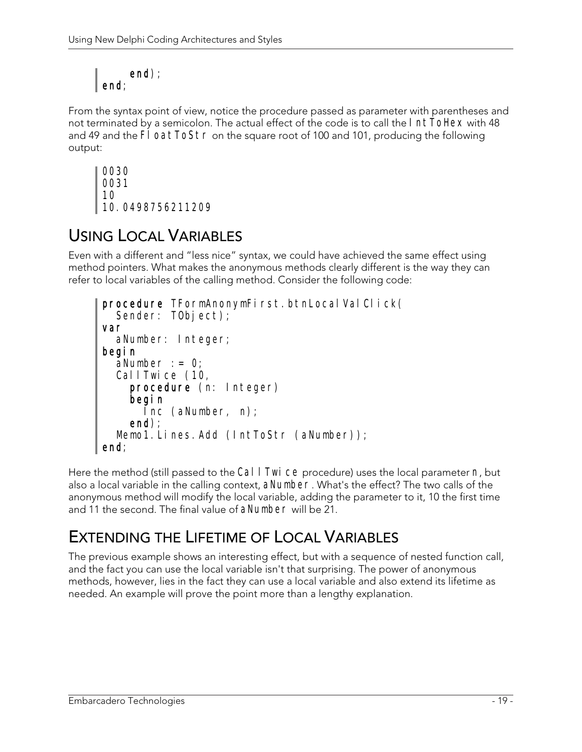```
 end); 
\mathsf{I}_{\mathsf{end}:}
```
From the syntax point of view, notice the procedure passed as parameter with parentheses and not terminated by a semicolon. The actual effect of the code is to call the **IntToHex** with 48 and 49 and the FI oatToStr on the square root of 100 and 101, producing the following output:

```
0030 
0031 
10 
10.0498756211209
```
## USING LOCAL VARIABLES

Even with a different and "less nice" syntax, we could have achieved the same effect using method pointers. What makes the anonymous methods clearly different is the way they can refer to local variables of the calling method. Consider the following code:

```
procedure TFormAnonymFirst.btnLocalValClick(
  Sender: T0bject);
var 
   aNumber: Integer; 
begin 
  aNumber : 0;
   CallTwice (10, 
     procedure (n: Integer) 
     begin 
       Inc (aNumber, n); 
     end); 
  Memo1. Lines. Add (IntToStr (aNumber));
end;
```
Here the method (still passed to the CallTwice procedure) uses the local parameter  $n$ , but also a local variable in the calling context, aNumber. What's the effect? The two calls of the anonymous method will modify the local variable, adding the parameter to it, 10 the first time and 11 the second. The final value of aNumber will be 21.

## EXTENDING THE LIFETIME OF LOCAL VARIABLES

The previous example shows an interesting effect, but with a sequence of nested function call, and the fact you can use the local variable isn't that surprising. The power of anonymous methods, however, lies in the fact they can use a local variable and also extend its lifetime as needed. An example will prove the point more than a lengthy explanation.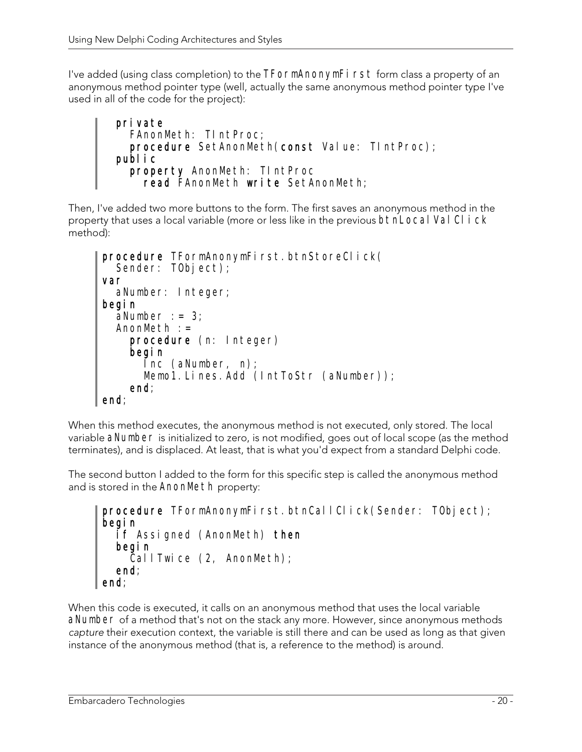I've added (using class completion) to the TFormAnonymFirst form class a property of an anonymous method pointer type (well, actually the same anonymous method pointer type I've used in all of the code for the project):

```
 private 
   FAnonMeth: TIntProc; 
  procedure SetAnonMeth(const Value: TIntProc);
 public 
   property AnonMeth: TIntProc 
    read FAnonMeth write SetAnonMeth;
```
Then, I've added two more buttons to the form. The first saves an anonymous method in the property that uses a local variable (more or less like in the previous **btnLocal Val CI i ck** method):

```
procedure TFormAnonymFirst.btnStoreClick(
  Sender: T0bject);
var 
   aNumber: Integer; 
begin 
  aNumber := 3;
  AnomMeth := procedure (n: Integer) 
     begin 
 Inc (aNumber, n); 
 Memo1.Lines.Add (IntToStr (aNumber)); 
     end; 
end;
```
When this method executes, the anonymous method is not executed, only stored. The local variable aNumber is initialized to zero, is not modified, goes out of local scope (as the method terminates), and is displaced. At least, that is what you'd expect from a standard Delphi code.

The second button I added to the form for this specific step is called the anonymous method and is stored in the AnonMeth property:

```
procedure TFormAnonymFirst.btnCallClick(Sender: TObject); 
begin 
   if Assigned (AnonMeth) then 
   begin 
    Call Twice (2, AnonMeth);
   end; 
end;
```
When this code is executed, it calls on an anonymous method that uses the local variable aNumber of a method that's not on the stack any more. However, since anonymous methods capture their execution context, the variable is still there and can be used as long as that given instance of the anonymous method (that is, a reference to the method) is around.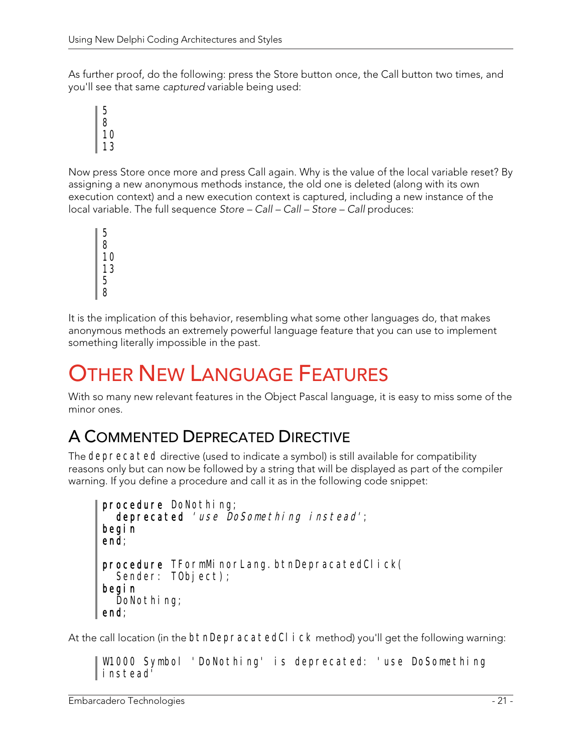As further proof, do the following: press the Store button once, the Call button two times, and you'll see that same captured variable being used:



Now press Store once more and press Call again. Why is the value of the local variable reset? By assigning a new anonymous methods instance, the old one is deleted (along with its own execution context) and a new execution context is captured, including a new instance of the local variable. The full sequence Store – Call – Call – Store – Call produces:

It is the implication of this behavior, resembling what some other languages do, that makes anonymous methods an extremely powerful language feature that you can use to implement something literally impossible in the past.

# **OTHER NEW LANGUAGE FEATURES**

With so many new relevant features in the Object Pascal language, it is easy to miss some of the minor ones.

### A COMMENTED DEPRECATED DIRECTIVE

The deprecated directive (used to indicate a symbol) is still available for compatibility reasons only but can now be followed by a string that will be displayed as part of the compiler warning. If you define a procedure and call it as in the following code snippet:

```
procedure DoNothing;
  deprecated 'use DoSomething instead';
begin 
end; 
procedure TFormMinorLang.btnDepracatedClick(
  Sender: TObject);
begin 
  DoNothing;
end;
```
At the call location (in the btnDepracatedCl i ck method) you'll get the following warning:

W1000 Symbol 'DoNothing' is deprecated: 'use DoSomething instead'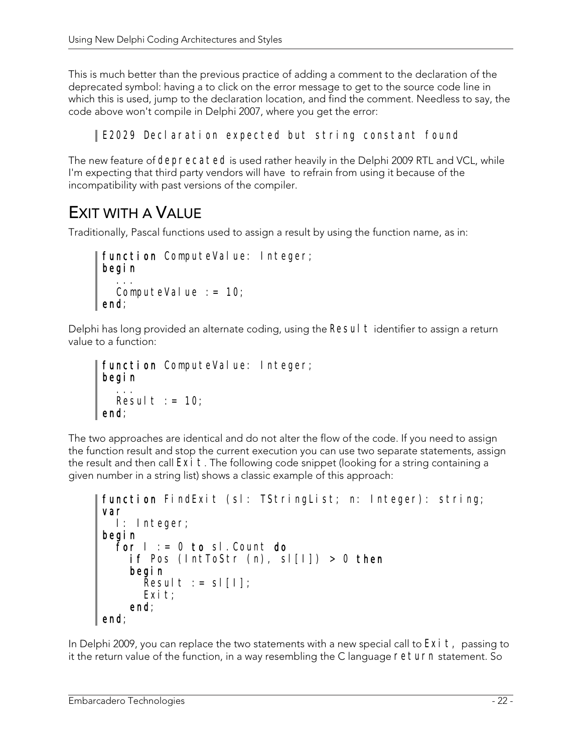This is much better than the previous practice of adding a comment to the declaration of the deprecated symbol: having a to click on the error message to get to the source code line in which this is used, jump to the declaration location, and find the comment. Needless to say, the code above won't compile in Delphi 2007, where you get the error:

#### E2029 Declaration expected but string constant found

The new feature of deprecated is used rather heavily in the Delphi 2009 RTL and VCL, while I'm expecting that third party vendors will have to refrain from using it because of the incompatibility with past versions of the compiler.

### EXIT WITH A VALUE

Traditionally, Pascal functions used to assign a result by using the function name, as in:

```
function ComputeValue: Integer;
begin 
 ... 
ComputeValue := 10;end;
```
Delphi has long provided an alternate coding, using the Resul  $t$  identifier to assign a return value to a function:

```
function ComputeValue: Integer;
begin 
   ... 
Result := 10;
end;
```
The two approaches are identical and do not alter the flow of the code. If you need to assign the function result and stop the current execution you can use two separate statements, assign the result and then call  $Exi$  t. The following code snippet (looking for a string containing a given number in a string list) shows a classic example of this approach:

```
function FindExit (sl: TStringList; n: Integer): string;
var 
  I: Integer; 
begin 
  For I := 0 to sl. Count do
    if Pos (IntToStr (n), sl[I]) > 0 then
     begin 
      Result := sl[1];
      Exit;
     end; 
end;
```
In Delphi 2009, you can replace the two statements with a new special call to  $Exi t$ , passing to it the return value of the function, in a way resembling the C language return statement. So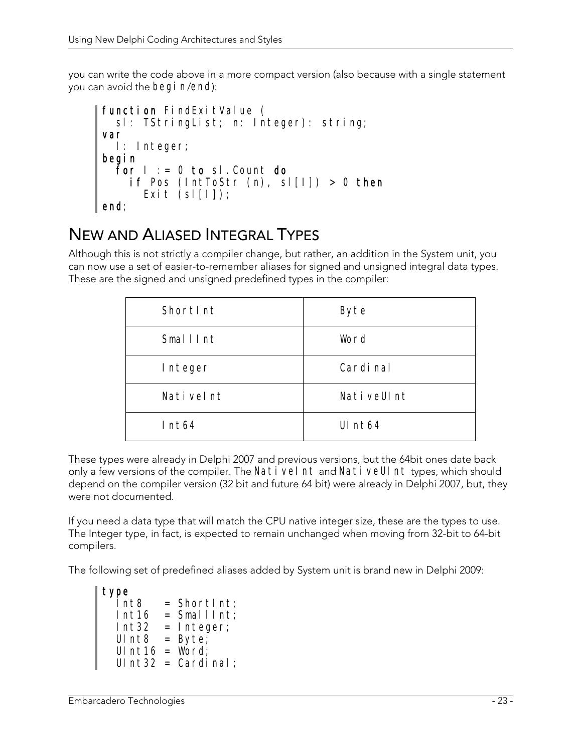you can write the code above in a more compact version (also because with a single statement you can avoid the begi n/end):

```
function FindExitValue (
   sl: TStringList; n: Integer): string; 
var 
   I: Integer; 
begin 
  for I := 0 to sI. Count do
    if Pos (IntToStr (n), sl[I]) > 0 then
      Exit (sl[I]);
end;
```
### NEW AND ALIASED INTEGRAL TYPES

Although this is not strictly a compiler change, but rather, an addition in the System unit, you can now use a set of easier-to-remember aliases for signed and unsigned integral data types. These are the signed and unsigned predefined types in the compiler:

| Shortlnt        | Byte       |
|-----------------|------------|
| <b>SmallInt</b> | Word       |
| Integer         | Cardi nal  |
| Nativelnt       | NativeUInt |
| Int64           | UI $nt64$  |

These types were already in Delphi 2007 and previous versions, but the 64bit ones date back only a few versions of the compiler. The Nativel nt and NativeUI nt types, which should depend on the compiler version (32 bit and future 64 bit) were already in Delphi 2007, but, they were not documented.

If you need a data type that will match the CPU native integer size, these are the types to use. The Integer type, in fact, is expected to remain unchanged when moving from 32-bit to 64-bit compilers.

The following set of predefined aliases added by System unit is brand new in Delphi 2009:

```
type 
 Int8 = ShortInt;Int16 = SmallInt;Int32 = Integer;UInt8 = Byte;UInt16 = Word;
 UInt32 = Cardinal;
```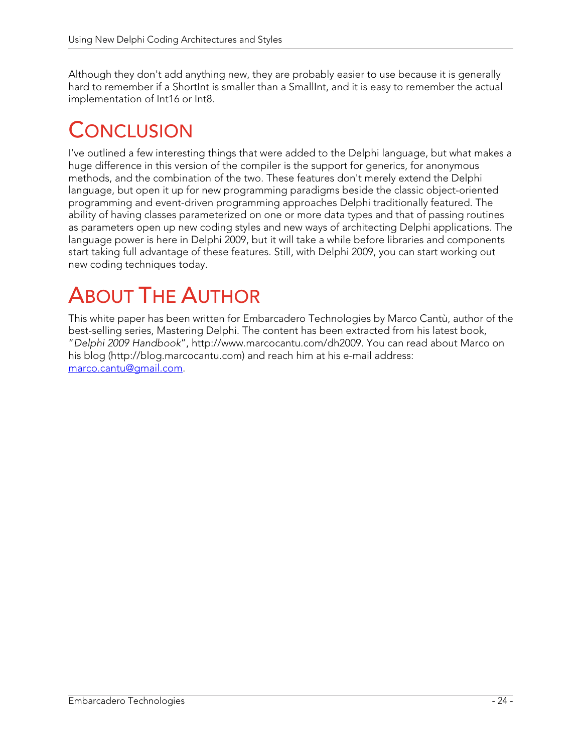Although they don't add anything new, they are probably easier to use because it is generally hard to remember if a ShortInt is smaller than a SmallInt, and it is easy to remember the actual implementation of Int16 or Int8.

# CONCLUSION

I've outlined a few interesting things that were added to the Delphi language, but what makes a huge difference in this version of the compiler is the support for generics, for anonymous methods, and the combination of the two. These features don't merely extend the Delphi language, but open it up for new programming paradigms beside the classic object-oriented programming and event-driven programming approaches Delphi traditionally featured. The ability of having classes parameterized on one or more data types and that of passing routines as parameters open up new coding styles and new ways of architecting Delphi applications. The language power is here in Delphi 2009, but it will take a while before libraries and components start taking full advantage of these features. Still, with Delphi 2009, you can start working out new coding techniques today.

# ABOUT THE AUTHOR

This white paper has been written for Embarcadero Technologies by Marco Cantù, author of the best-selling series, Mastering Delphi. The content has been extracted from his latest book, "Delphi 2009 Handbook", http://www.marcocantu.com/dh2009. You can read about Marco on his blog (http://blog.marcocantu.com) and reach him at his e-mail address: marco.cantu@gmail.com.